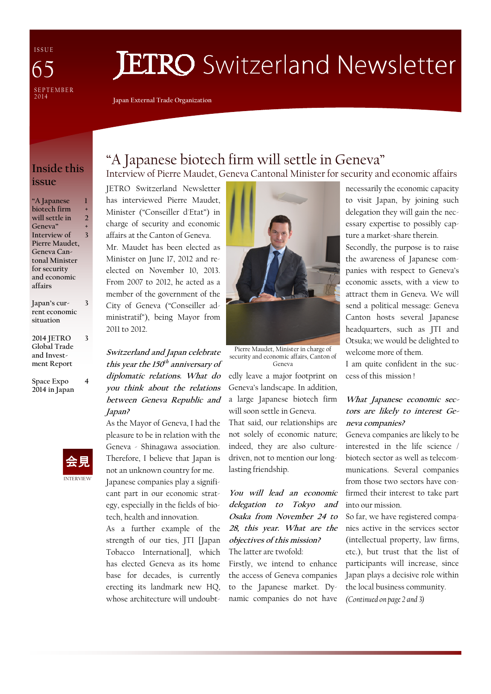I S S U E SE PTEMBER<br>2014 65

# **JETRO** Switzerland Newsletter

Japan External Trade Organization

## Inside this issue

"A Japanese biotech firm will settle in Geneva" Interview of Pierre Maudet, Geneva Cantonal Minister for security and economic affairs 1 + 2 + 3

Japan's current economic situation 3

2014 JETRO Global Trade and Investment Report

3

4

Space Expo 2014 in Japan



## "A Japanese biotech firm will settle in Geneva" Interview of Pierre Maudet, Geneva Cantonal Minister for security and economic affairs

JETRO Switzerland Newsletter has interviewed Pierre Maudet, Minister ("Conseiller d'Etat") in charge of security and economic affairs at the Canton of Geneva. Mr. Maudet has been elected as Minister on June 17, 2012 and re-

elected on November 10, 2013. From 2007 to 2012, he acted as a member of the government of the City of Geneva ("Conseiller administratif"), being Mayor from 2011 to 2012.

Switzerland and Japan celebrate this year the 150<sup>th</sup> anniversary of diplomatic relations. What do you think about the relations between Geneva Republic and Japan?

As the Mayor of Geneva, I had the pleasure to be in relation with the Geneva - Shinagawa association. Therefore, I believe that Japan is not an unknown country for me. Japanese companies play a signifi-

cant part in our economic strategy, especially in the fields of biotech, health and innovation.

As a further example of the strength of our ties, JTI [Japan Tobacco International], which has elected Geneva as its home base for decades, is currently erecting its landmark new HQ, whose architecture will undoubt-



Pierre Maudet, Minister in charge of security and economic affairs, Canton of Geneva

edly leave a major footprint on Geneva's landscape. In addition, a large Japanese biotech firm will soon settle in Geneva. That said, our relationships are not solely of economic nature; indeed, they are also culturedriven, not to mention our longlasting friendship.

You will lead an economic delegation to Tokyo and Osaka from November 24 to 28, this year. What are the objectives of this mission? The latter are twofold:

Firstly, we intend to enhance the access of Geneva companies to the Japanese market. Dynamic companies do not have necessarily the economic capacity to visit Japan, by joining such delegation they will gain the necessary expertise to possibly capture a market-share therein.

Secondly, the purpose is to raise the awareness of Japanese companies with respect to Geneva's economic assets, with a view to attract them in Geneva. We will send a political message: Geneva Canton hosts several Japanese headquarters, such as JTI and Otsuka; we would be delighted to welcome more of them.

I am quite confident in the success of this mission !

#### What Japanese economic sectors are likely to interest Geneva companies?

Geneva companies are likely to be interested in the life science / biotech sector as well as telecommunications. Several companies from those two sectors have confirmed their interest to take part into our mission.

So far, we have registered companies active in the services sector (intellectual property, law firms, etc.), but trust that the list of participants will increase, since Japan plays a decisive role within the local business community. (Continued on page 2 and 3)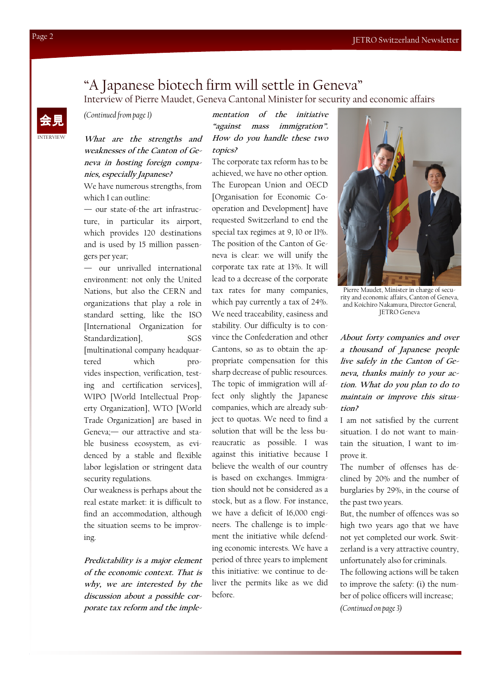## "A Japanese biotech firm will settle in Geneva"

Interview of Pierre Maudet, Geneva Cantonal Minister for security and economic affairs

(Continued from page 1)

What are the strengths and weaknesses of the Canton of Geneva in hosting foreign companies, especially Japanese?

We have numerous strengths, from which I can outline:

— our state-of-the art infrastructure, in particular its airport, which provides 120 destinations and is used by 15 million passengers per year;

— our unrivalled international environment: not only the United Nations, but also the CERN and organizations that play a role in standard setting, like the ISO [International Organization for Standardization], SGS [multinational company headquartered which provides inspection, verification, testing and certification services], WIPO [World Intellectual Property Organization], WTO [World Trade Organization] are based in Geneva;— our attractive and stable business ecosystem, as evidenced by a stable and flexible labor legislation or stringent data security regulations.

Our weakness is perhaps about the real estate market: it is difficult to find an accommodation, although the situation seems to be improving.

Predictability is a major element of the economic context. That is why, we are interested by the discussion about a possible corporate tax reform and the implementation of the initiative "against mass immigration". How do you handle these two topics?

The corporate tax reform has to be achieved, we have no other option. The European Union and OECD [Organisation for Economic Cooperation and Development] have requested Switzerland to end the special tax regimes at 9, 10 or 11%. The position of the Canton of Geneva is clear: we will unify the corporate tax rate at 13%. It will lead to a decrease of the corporate tax rates for many companies, which pay currently a tax of 24%. We need traceability, easiness and stability. Our difficulty is to convince the Confederation and other Cantons, so as to obtain the appropriate compensation for this sharp decrease of public resources. The topic of immigration will affect only slightly the Japanese companies, which are already subject to quotas. We need to find a solution that will be the less bureaucratic as possible. I was against this initiative because I believe the wealth of our country is based on exchanges. Immigration should not be considered as a stock, but as a flow. For instance, we have a deficit of 16,000 engineers. The challenge is to implement the initiative while defending economic interests. We have a period of three years to implement this initiative: we continue to deliver the permits like as we did before.



Pierre Maudet, Minister in charge of security and economic affairs, Canton of Geneva, and Koichiro Nakamura, Director General, JETRO Geneva

About forty companies and over a thousand of Japanese people live safely in the Canton of Geneva, thanks mainly to your action. What do you plan to do to maintain or improve this situation?

I am not satisfied by the current situation. I do not want to maintain the situation, I want to improve it.

The number of offenses has declined by 20% and the number of burglaries by 29%, in the course of the past two years.

But, the number of offences was so high two years ago that we have not yet completed our work. Switzerland is a very attractive country, unfortunately also for criminals.

The following actions will be taken to improve the safety: (i) the number of police officers will increase; (Continued on page 3)

INTERVIEW

会見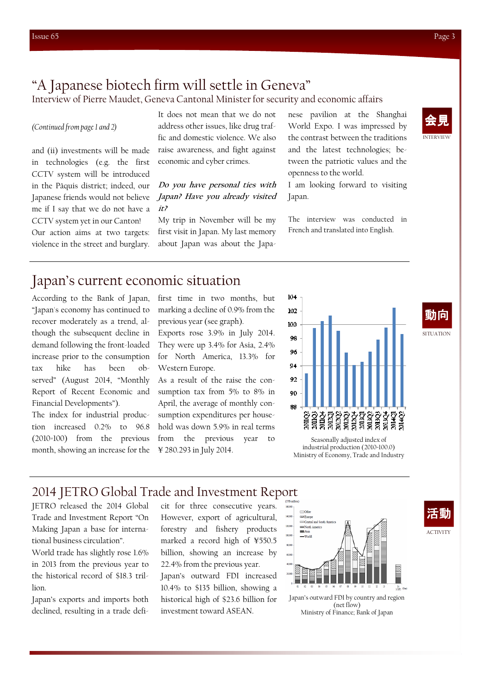## "A Japanese biotech firm will settle in Geneva"

Interview of Pierre Maudet, Geneva Cantonal Minister for security and economic affairs

(Continued from page 1 and 2)

and (ii) investments will be made in technologies (e.g. the first CCTV system will be introduced in the Pâquis district; indeed, our Japanese friends would not believe me if I say that we do not have a CCTV system yet in our Canton! Our action aims at two targets: violence in the street and burglary.

It does not mean that we do not address other issues, like drug traffic and domestic violence. We also raise awareness, and fight against economic and cyber crimes.

#### Do you have personal ties with Japan? Have you already visited it?

My trip in November will be my first visit in Japan. My last memory about Japan was about the Japanese pavilion at the Shanghai World Expo. I was impressed by the contrast between the traditions and the latest technologies; between the patriotic values and the openness to the world.

I am looking forward to visiting Japan.

The interview was conducted in French and translated into English.



## Japan's current economic situation

According to the Bank of Japan, "Japan's economy has continued to recover moderately as a trend, although the subsequent decline in demand following the front-loaded increase prior to the consumption tax hike has been observed" (August 2014, "Monthly Report of Recent Economic and Financial Developments").

The index for industrial production increased 0.2% to 96.8 (2010=100) from the previous month, showing an increase for the first time in two months, but marking a decline of 0.9% from the previous year (see graph).

Exports rose 3.9% in July 2014. They were up 3.4% for Asia, 2.4% for North America, 13.3% for Western Europe.

As a result of the raise the consumption tax from 5% to 8% in April, the average of monthly consumption expenditures per household was down 5.9% in real terms from the previous year to ¥ 280.293 in July 2014.



動向

SITUATION

**ACTIVITY** 

Seasonally adjusted index of industrial production (2010=100.0) Ministry of Economy, Trade and Industry

### 2014 JETRO Global Trade and Investment Report

Trade and Investment Report "On Making Japan a base for international business circulation".

World trade has slightly rose 1.6% in 2013 from the previous year to the historical record of \$18.3 trillion.

Japan's exports and imports both declined, resulting in a trade defiHowever, export of agricultural, forestry and fishery products marked a record high of ¥550.5 billion, showing an increase by 22.4% from the previous year.

Japan's outward FDI increased 10.4% to \$135 billion, showing a historical high of \$23.6 billion for investment toward ASEAN.



Ministry of Finance; Bank of Japan